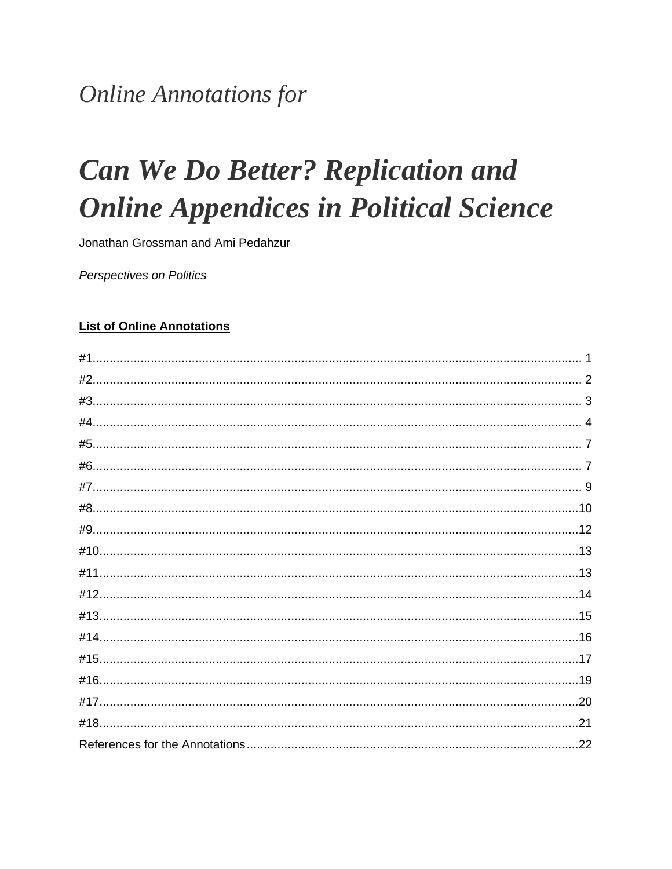## **Online Annotations for**

# **Can We Do Better? Replication and Online Appendices in Political Science**

Jonathan Grossman and Ami Pedahzur

Perspectives on Politics

#### **List of Online Annotations**

| #1. |  |
|-----|--|
|     |  |
|     |  |
|     |  |
|     |  |
|     |  |
|     |  |
|     |  |
|     |  |
|     |  |
|     |  |
|     |  |
|     |  |
|     |  |
|     |  |
|     |  |
|     |  |
|     |  |
|     |  |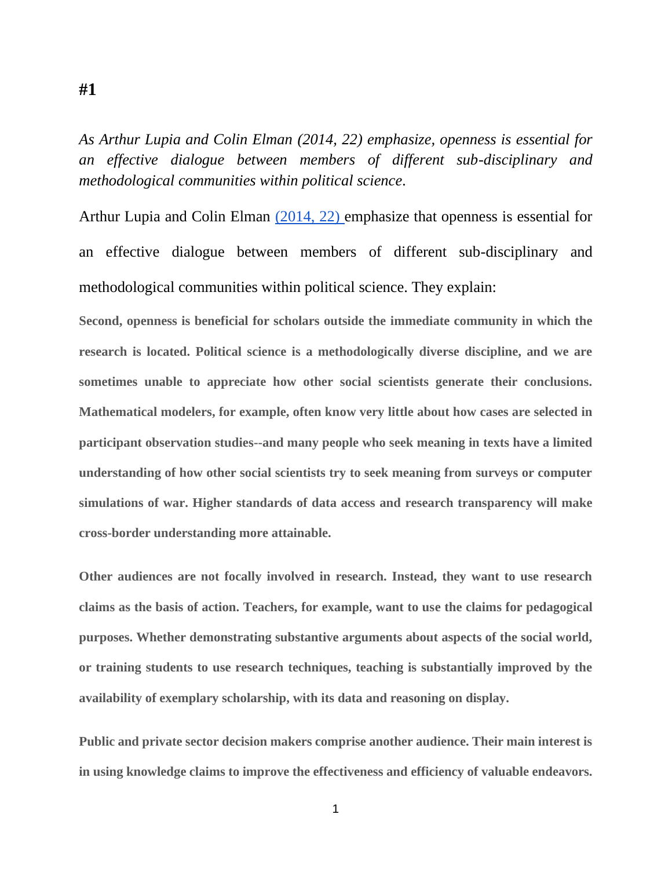*As Arthur Lupia and Colin Elman (2014, 22) emphasize, openness is essential for an effective dialogue between members of different sub-disciplinary and methodological communities within political science.*

Arthur Lupia and Colin Elman [\(2014, 22\)](https://doi.org/10.1017/S1049096513001716) emphasize that openness is essential for an effective dialogue between members of different sub-disciplinary and methodological communities within political science. They explain:

**Second, openness is beneficial for scholars outside the immediate community in which the research is located. Political science is a methodologically diverse discipline, and we are sometimes unable to appreciate how other social scientists generate their conclusions. Mathematical modelers, for example, often know very little about how cases are selected in participant observation studies--and many people who seek meaning in texts have a limited understanding of how other social scientists try to seek meaning from surveys or computer simulations of war. Higher standards of data access and research transparency will make cross-border understanding more attainable.**

**Other audiences are not focally involved in research. Instead, they want to use research claims as the basis of action. Teachers, for example, want to use the claims for pedagogical purposes. Whether demonstrating substantive arguments about aspects of the social world, or training students to use research techniques, teaching is substantially improved by the availability of exemplary scholarship, with its data and reasoning on display.**

**Public and private sector decision makers comprise another audience. Their main interest is in using knowledge claims to improve the effectiveness and efficiency of valuable endeavors.** 

<span id="page-1-0"></span>**#1**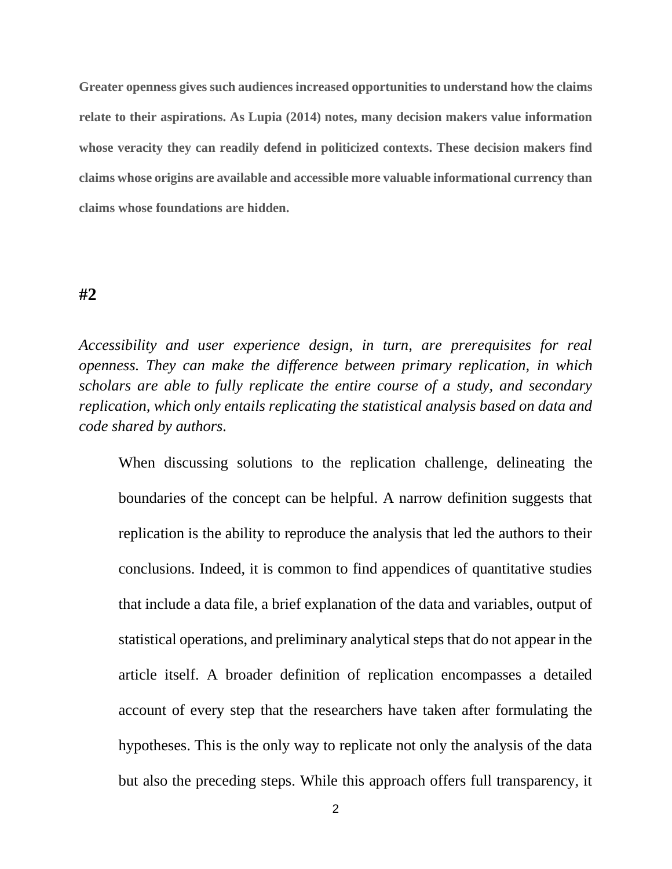**Greater openness gives such audiences increased opportunities to understand how the claims relate to their aspirations. As Lupia (2014) notes, many decision makers value information whose veracity they can readily defend in politicized contexts. These decision makers find claims whose origins are available and accessible more valuable informational currency than claims whose foundations are hidden.**

#### <span id="page-2-0"></span>**#2**

*Accessibility and user experience design, in turn, are prerequisites for real openness. They can make the difference between primary replication, in which scholars are able to fully replicate the entire course of a study, and secondary replication, which only entails replicating the statistical analysis based on data and code shared by authors.*

When discussing solutions to the replication challenge, delineating the boundaries of the concept can be helpful. A narrow definition suggests that replication is the ability to reproduce the analysis that led the authors to their conclusions. Indeed, it is common to find appendices of quantitative studies that include a data file, a brief explanation of the data and variables, output of statistical operations, and preliminary analytical steps that do not appear in the article itself. A broader definition of replication encompasses a detailed account of every step that the researchers have taken after formulating the hypotheses. This is the only way to replicate not only the analysis of the data but also the preceding steps. While this approach offers full transparency, it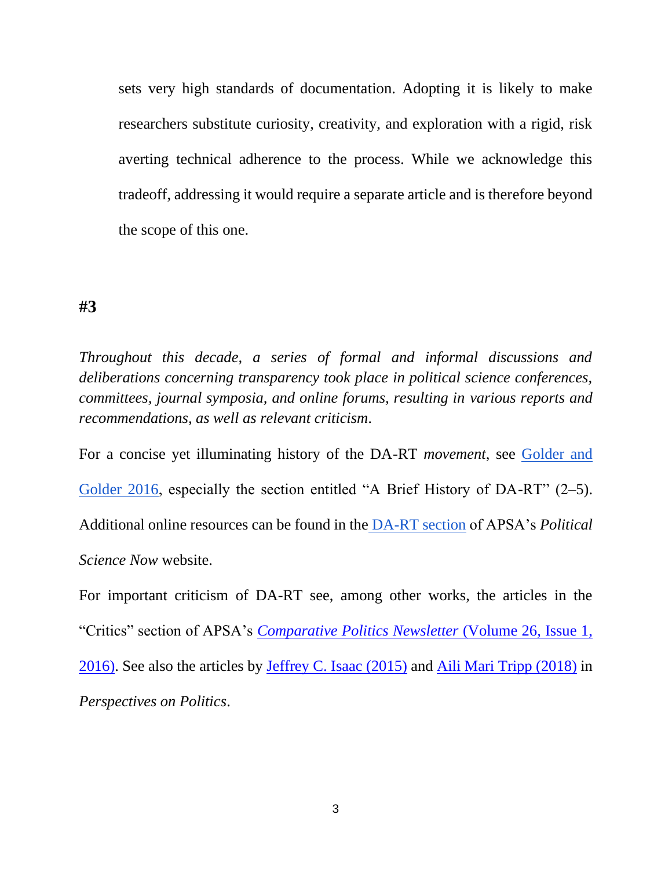sets very high standards of documentation. Adopting it is likely to make researchers substitute curiosity, creativity, and exploration with a rigid, risk averting technical adherence to the process. While we acknowledge this tradeoff, addressing it would require a separate article and is therefore beyond the scope of this one.

#### <span id="page-3-0"></span>**#3**

*Throughout this decade, a series of formal and informal discussions and deliberations concerning transparency took place in political science conferences, committees, journal symposia, and online forums, resulting in various reports and recommendations, as well as relevant criticism.*

For a concise yet illuminating history of the DA-RT *movement*, see [Golder and](http://comparativenewsletter.com/files/archived_newsletters/newsletter_spring2016.pdf)  [Golder 2016,](http://comparativenewsletter.com/files/archived_newsletters/newsletter_spring2016.pdf) especially the section entitled "A Brief History of DA-RT" (2–5). Additional online resources can be found in the [DA-RT section](https://politicalsciencenow.com/category/da-rt/) of APSA's *Political Science Now* website.

For important criticism of DA-RT see, among other works, the articles in the "Critics" section of APSA's *[Comparative Politics Newsletter](http://comparativenewsletter.com/files/archived_newsletters/newsletter_spring2016.pdf)* (Volume 26, Issue 1, [2016\).](http://comparativenewsletter.com/files/archived_newsletters/newsletter_spring2016.pdf) See also the articles by [Jeffrey C. Isaac \(2015\)](https://doi.org/10.1017/S1537592715000031) and [Aili Mari Tripp \(2018\)](https://doi.org/10.1017/S1537592718001056) in *Perspectives on Politics*.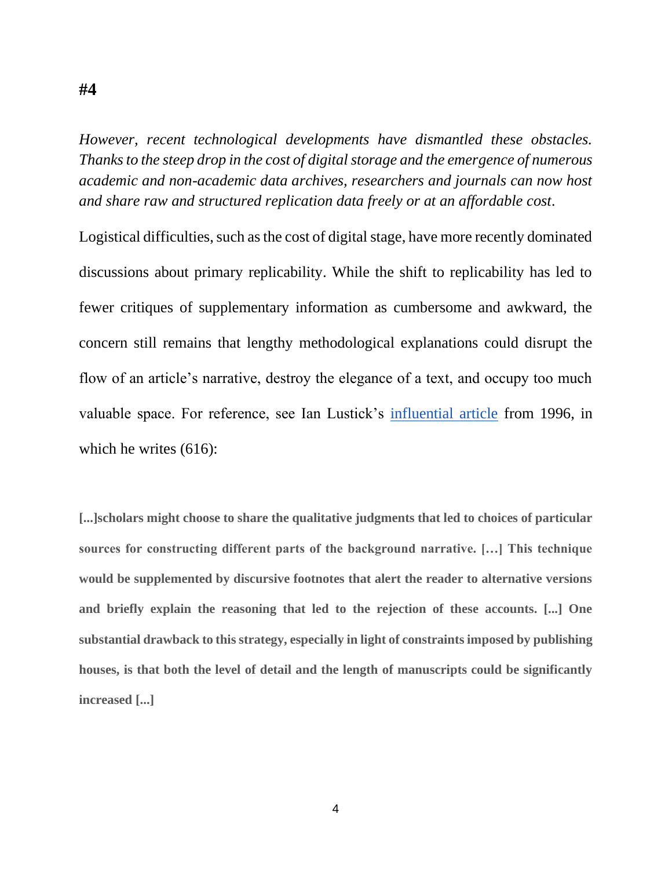<span id="page-4-0"></span>*However, recent technological developments have dismantled these obstacles. Thanks to the steep drop in the cost of digital storage and the emergence of numerous academic and non-academic data archives, researchers and journals can now host and share raw and structured replication data freely or at an affordable cost.*

Logistical difficulties, such as the cost of digital stage, have more recently dominated discussions about primary replicability. While the shift to replicability has led to fewer critiques of supplementary information as cumbersome and awkward, the concern still remains that lengthy methodological explanations could disrupt the flow of an article's narrative, destroy the elegance of a text, and occupy too much valuable space. For reference, see Ian Lustick's [influential article](https://doi.org/10.2307/2082612) from 1996, in which he writes (616):

**[...]scholars might choose to share the qualitative judgments that led to choices of particular sources for constructing different parts of the background narrative. […] This technique would be supplemented by discursive footnotes that alert the reader to alternative versions and briefly explain the reasoning that led to the rejection of these accounts. [...] One substantial drawback to this strategy, especially in light of constraints imposed by publishing houses, is that both the level of detail and the length of manuscripts could be significantly increased [...]**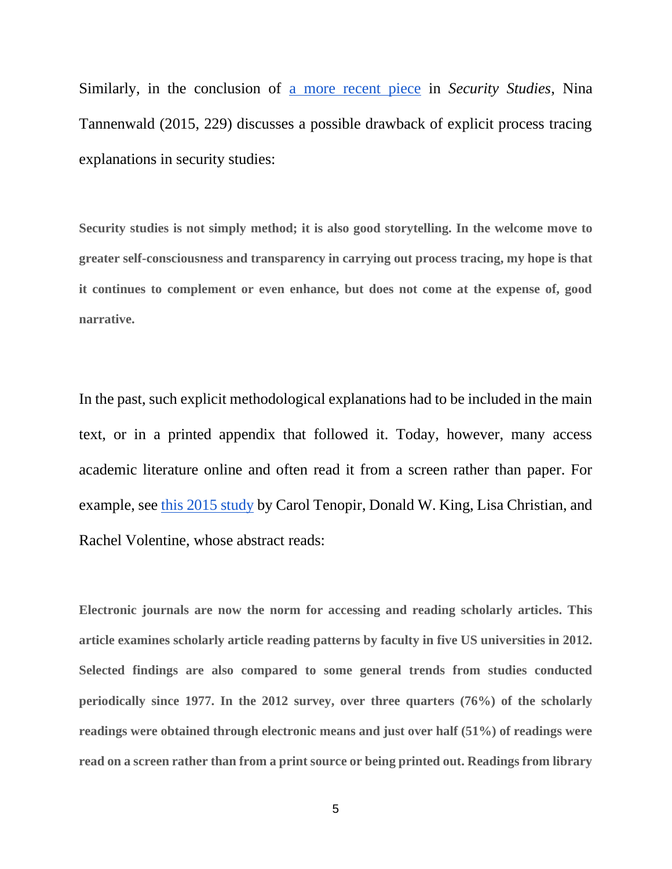Similarly, in the conclusion of [a more recent piece](https://doi.org/10.1080/09636412.2015.1036614) in *Security Studies*, Nina Tannenwald (2015, 229) discusses a possible drawback of explicit process tracing explanations in security studies:

**Security studies is not simply method; it is also good storytelling. In the welcome move to greater self-consciousness and transparency in carrying out process tracing, my hope is that it continues to complement or even enhance, but does not come at the expense of, good narrative.**

In the past, such explicit methodological explanations had to be included in the main text, or in a printed appendix that followed it. Today, however, many access academic literature online and often read it from a screen rather than paper. For example, see [this 2015 s](https://onlinelibrary.wiley.com/doi/abs/10.1087/20150203)tudy by Carol Tenopir, Donald W. King, Lisa Christian, and Rachel Volentine, whose abstract reads:

**Electronic journals are now the norm for accessing and reading scholarly articles. This article examines scholarly article reading patterns by faculty in five US universities in 2012. Selected findings are also compared to some general trends from studies conducted periodically since 1977. In the 2012 survey, over three quarters (76%) of the scholarly readings were obtained through electronic means and just over half (51%) of readings were read on a screen rather than from a print source or being printed out. Readings from library**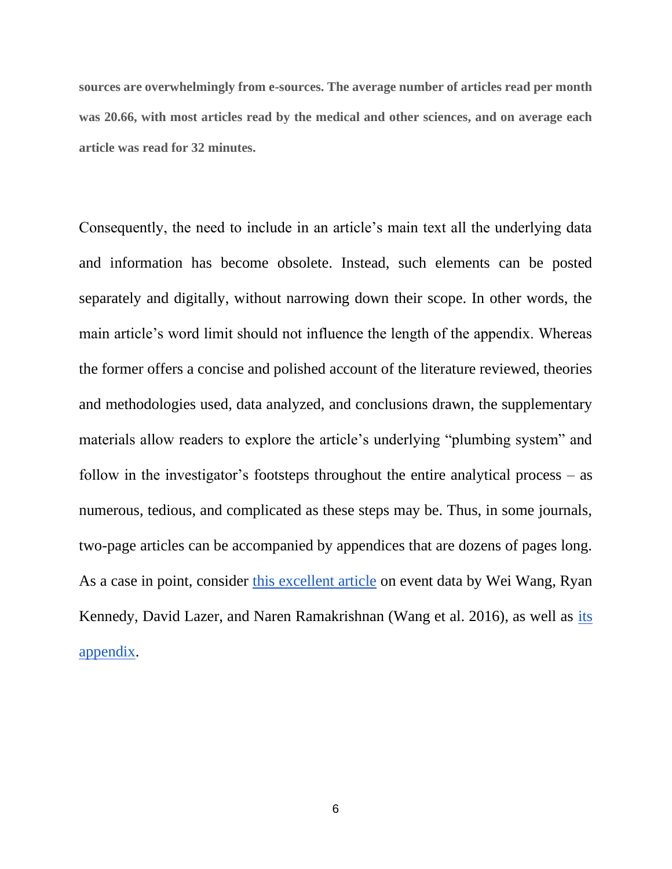**sources are overwhelmingly from e-sources. The average number of articles read per month was 20.66, with most articles read by the medical and other sciences, and on average each article was read for 32 minutes.**

Consequently, the need to include in an article's main text all the underlying data and information has become obsolete. Instead, such elements can be posted separately and digitally, without narrowing down their scope. In other words, the main article's word limit should not influence the length of the appendix. Whereas the former offers a concise and polished account of the literature reviewed, theories and methodologies used, data analyzed, and conclusions drawn, the supplementary materials allow readers to explore the article's underlying "plumbing system" and follow in the investigator's footsteps throughout the entire analytical process – as numerous, tedious, and complicated as these steps may be. Thus, in some journals, two-page articles can be accompanied by appendices that are dozens of pages long. As a case in point, consider [this excellent article](http://doi.org/10.1126/science.aaf6758) on event data by Wei Wang, Ryan Kennedy, David Lazer, and Naren Ramakrishnan (Wang et al. 2016), as well as [its](http://www.sciencemag.org/content/353/6307/1502/suppl/DC1?_ga=2.42769058.623393908.1576764436-1410024844.1571729805)  [appendix.](http://www.sciencemag.org/content/353/6307/1502/suppl/DC1?_ga=2.42769058.623393908.1576764436-1410024844.1571729805)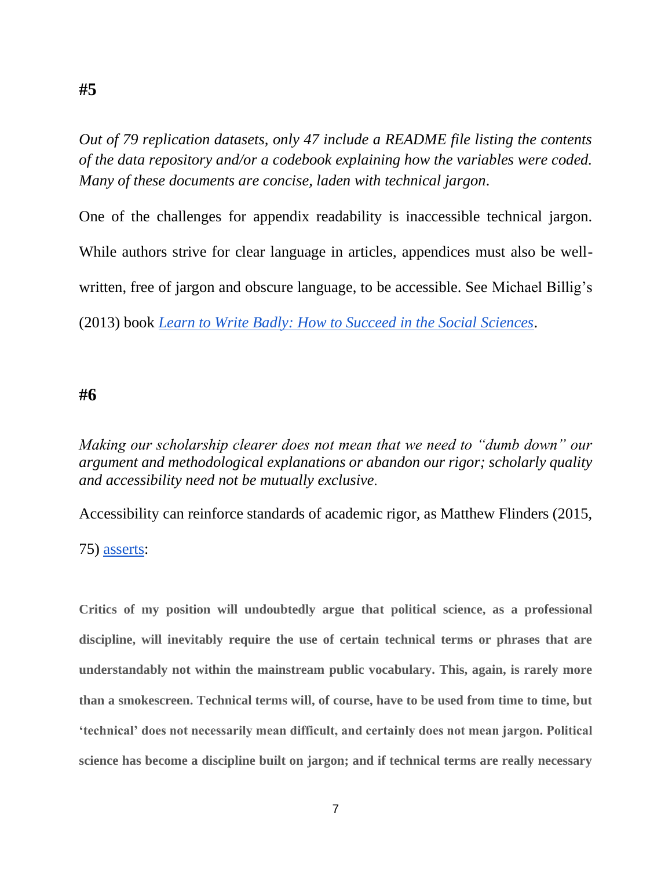<span id="page-7-0"></span>*Out of 79 replication datasets, only 47 include a README file listing the contents of the data repository and/or a codebook explaining how the variables were coded. Many of these documents are concise, laden with technical jargon.*

One of the challenges for appendix readability is inaccessible technical jargon. While authors strive for clear language in articles, appendices must also be wellwritten, free of jargon and obscure language, to be accessible. See Michael Billig's (2013) book *[Learn to Write Badly: How to Succeed in the Social Sciences](https://books.google.com/books?id=PG3ec-UYQjoC&printsec=frontcover&source=gbs_ge_summary_r&cad=0#v=onepage&q&f=false)*.

#### <span id="page-7-1"></span>**#6**

*Making our scholarship clearer does not mean that we need to "dumb down" our argument and methodological explanations or abandon our rigor; scholarly quality and accessibility need not be mutually exclusive.*

Accessibility can reinforce standards of academic rigor, as Matthew Flinders (2015,

75) [asserts:](https://books.google.co.il/books?id=8w2tCQAAQBAJ&lpg=PP1&pg=PA75#v=onepage&q&f=false)

**Critics of my position will undoubtedly argue that political science, as a professional discipline, will inevitably require the use of certain technical terms or phrases that are understandably not within the mainstream public vocabulary. This, again, is rarely more than a smokescreen. Technical terms will, of course, have to be used from time to time, but 'technical' does not necessarily mean difficult, and certainly does not mean jargon. Political science has become a discipline built on jargon; and if technical terms are really necessary**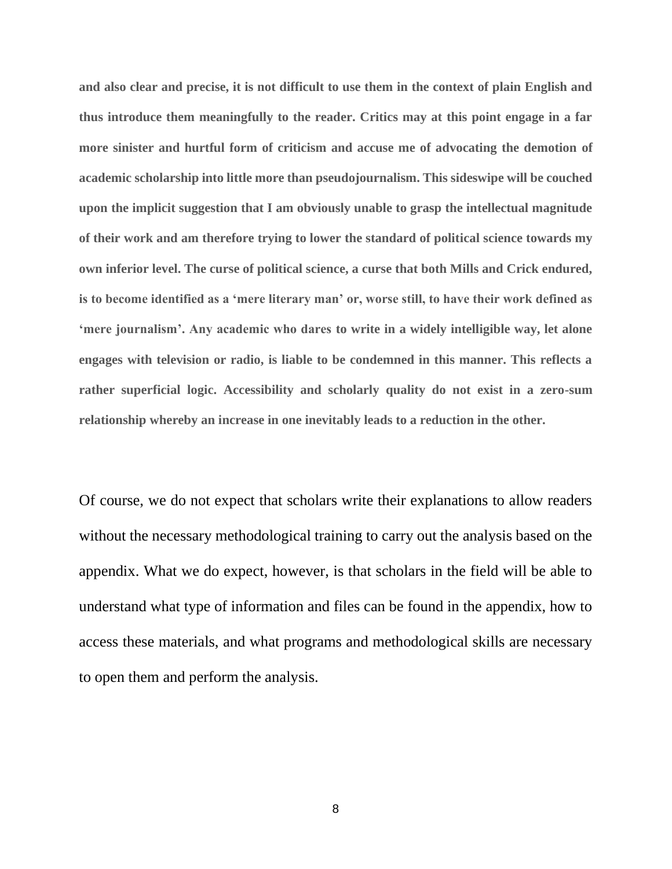**and also clear and precise, it is not difficult to use them in the context of plain English and thus introduce them meaningfully to the reader. Critics may at this point engage in a far more sinister and hurtful form of criticism and accuse me of advocating the demotion of academic scholarship into little more than pseudojournalism. This sideswipe will be couched upon the implicit suggestion that I am obviously unable to grasp the intellectual magnitude of their work and am therefore trying to lower the standard of political science towards my own inferior level. The curse of political science, a curse that both Mills and Crick endured, is to become identified as a 'mere literary man' or, worse still, to have their work defined as 'mere journalism'. Any academic who dares to write in a widely intelligible way, let alone engages with television or radio, is liable to be condemned in this manner. This reflects a rather superficial logic. Accessibility and scholarly quality do not exist in a zero-sum relationship whereby an increase in one inevitably leads to a reduction in the other.**

Of course, we do not expect that scholars write their explanations to allow readers without the necessary methodological training to carry out the analysis based on the appendix. What we do expect, however, is that scholars in the field will be able to understand what type of information and files can be found in the appendix, how to access these materials, and what programs and methodological skills are necessary to open them and perform the analysis.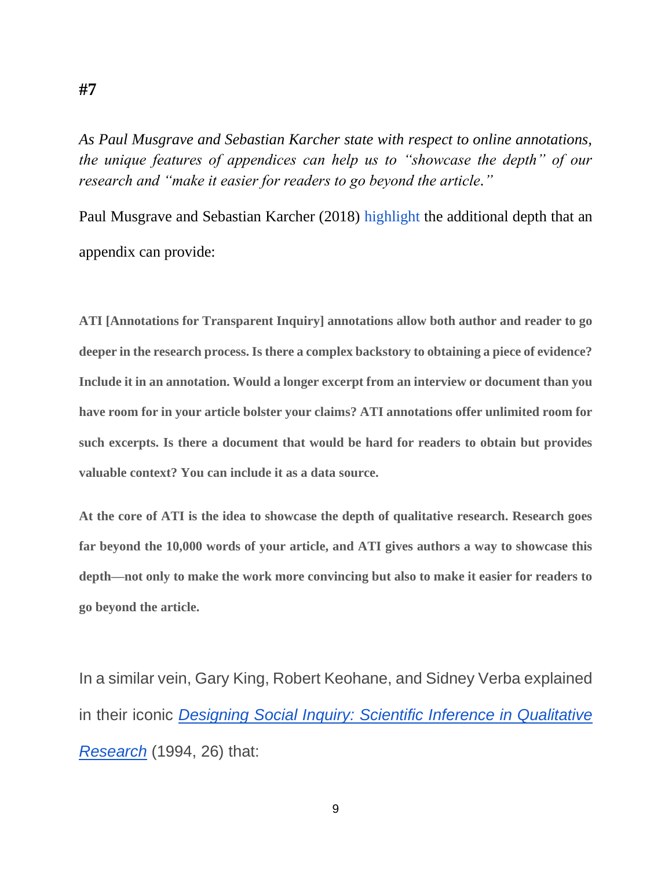*As Paul Musgrave and Sebastian Karcher state with respect to online annotations, the unique features of appendices can help us to "showcase the depth" of our research and "make it easier for readers to go beyond the article."*

Paul Musgrave and Sebastian Karcher (2018) [highlight](https://duckofminerva.com/2018/05/seven-reasons-we-use-annotation-for-transparent-inquiry-ati.html) the additional depth that an appendix can provide:

**ATI [Annotations for Transparent Inquiry] annotations allow both author and reader to go deeper in the research process. Is there a complex backstory to obtaining a piece of evidence? Include it in an annotation. Would a longer excerpt from an interview or document than you have room for in your article bolster your claims? ATI annotations offer unlimited room for such excerpts. Is there a document that would be hard for readers to obtain but provides valuable context? You can include it as a data source.**

**At the core of ATI is the idea to showcase the depth of qualitative research. Research goes far beyond the 10,000 words of your article, and ATI gives authors a way to showcase this depth—not only to make the work more convincing but also to make it easier for readers to go beyond the article.**

In a similar vein, Gary King, Robert Keohane, and Sidney Verba explained in their iconic *[Designing Social Inquiry: Scientific Inference in Qualitative](https://books.google.co.il/books?id=A7VFF-JR3b8C&lpg=PA26&ots=f2lxN7CVZX&dq=%22Replicability%20is%20important%20even%20if%20no%20one%20actually%20replicates%20our%20study%22&pg=PA26#v=onepage&q&f=false)  [Research](https://books.google.co.il/books?id=A7VFF-JR3b8C&lpg=PA26&ots=f2lxN7CVZX&dq=%22Replicability%20is%20important%20even%20if%20no%20one%20actually%20replicates%20our%20study%22&pg=PA26#v=onepage&q&f=false)* (1994, 26) that:

<span id="page-9-0"></span>**#7**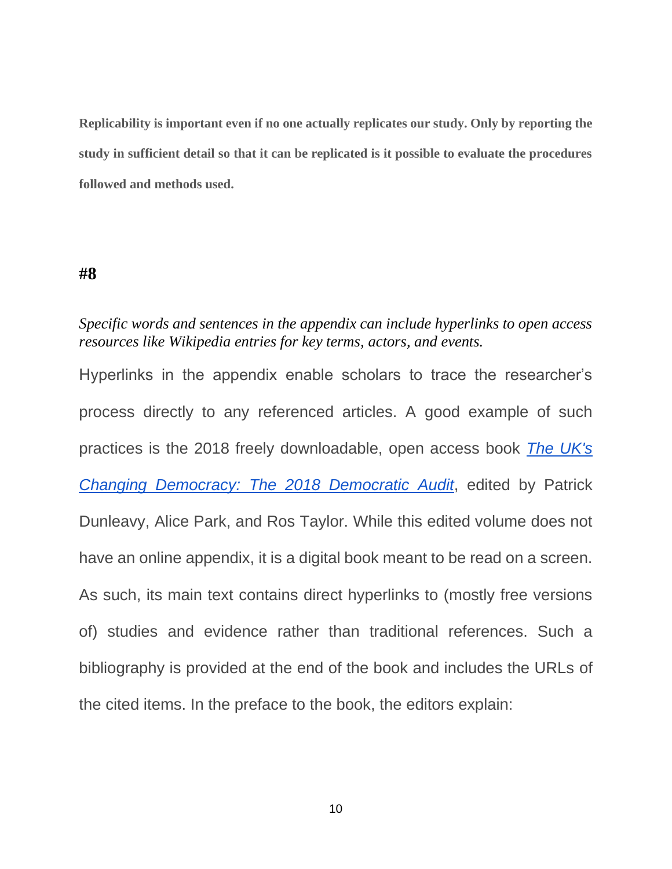**Replicability is important even if no one actually replicates our study. Only by reporting the study in sufficient detail so that it can be replicated is it possible to evaluate the procedures followed and methods used.**

#### <span id="page-10-0"></span>**#8**

#### *Specific words and sentences in the appendix can include hyperlinks to open access resources like Wikipedia entries for key terms, actors, and events.*

Hyperlinks in the appendix enable scholars to trace the researcher's process directly to any referenced articles. A good example of such practices is the 2018 freely downloadable, open access book *[The UK's](https://www.democraticaudit.com/the-uks-changing-democracy-the-2018-democratic-audit/)  [Changing Democracy: The 2018 Democratic Audit](https://www.democraticaudit.com/the-uks-changing-democracy-the-2018-democratic-audit/)*, edited by Patrick Dunleavy, Alice Park, and Ros Taylor. While this edited volume does not have an online appendix, it is a digital book meant to be read on a screen. As such, its main text contains direct hyperlinks to (mostly free versions of) studies and evidence rather than traditional references. Such a bibliography is provided at the end of the book and includes the URLs of the cited items. In the preface to the book, the editors explain: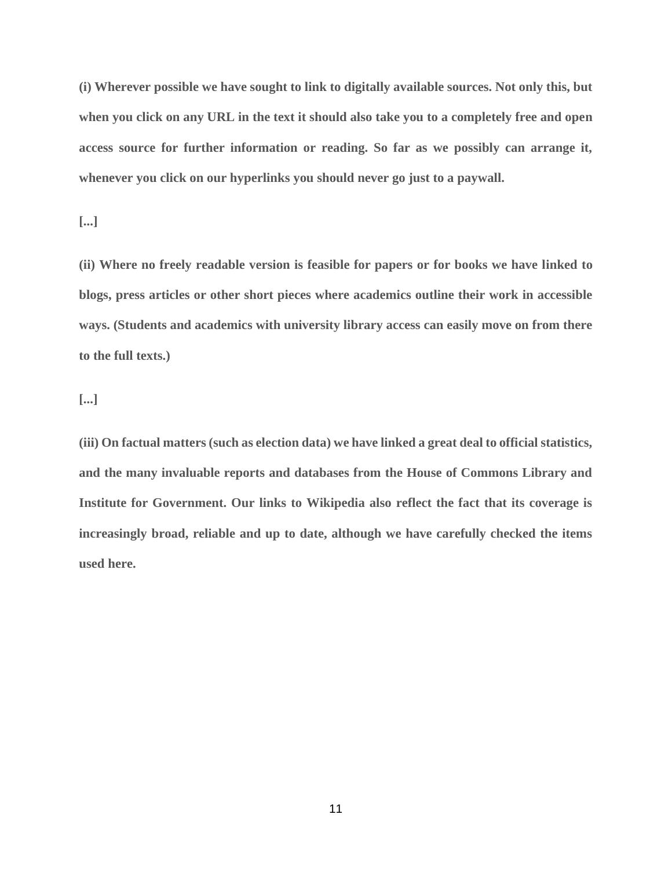**(i) Wherever possible we have sought to link to digitally available sources. Not only this, but when you click on any URL in the text it should also take you to a completely free and open access source for further information or reading. So far as we possibly can arrange it, whenever you click on our hyperlinks you should never go just to a paywall.**

**[...]**

**(ii) Where no freely readable version is feasible for papers or for books we have linked to blogs, press articles or other short pieces where academics outline their work in accessible ways. (Students and academics with university library access can easily move on from there to the full texts.)**

**[...]**

<span id="page-11-0"></span>**(iii) On factual matters (such as election data) we have linked a great deal to official statistics, and the many invaluable reports and databases from the House of Commons Library and Institute for Government. Our links to Wikipedia also reflect the fact that its coverage is increasingly broad, reliable and up to date, although we have carefully checked the items used here.**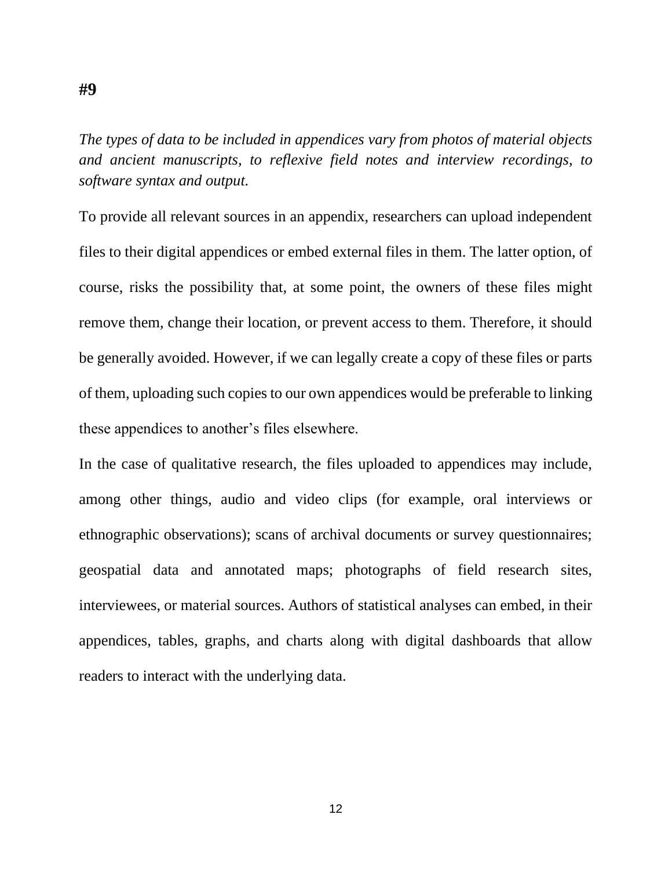*The types of data to be included in appendices vary from photos of material objects and ancient manuscripts, to reflexive field notes and interview recordings, to software syntax and output.*

To provide all relevant sources in an appendix, researchers can upload independent files to their digital appendices or embed external files in them. The latter option, of course, risks the possibility that, at some point, the owners of these files might remove them, change their location, or prevent access to them. Therefore, it should be generally avoided. However, if we can legally create a copy of these files or parts of them, uploading such copies to our own appendices would be preferable to linking these appendices to another's files elsewhere.

In the case of qualitative research, the files uploaded to appendices may include, among other things, audio and video clips (for example, oral interviews or ethnographic observations); scans of archival documents or survey questionnaires; geospatial data and annotated maps; photographs of field research sites, interviewees, or material sources. Authors of statistical analyses can embed, in their appendices, tables, graphs, and charts along with digital dashboards that allow readers to interact with the underlying data.

**#9**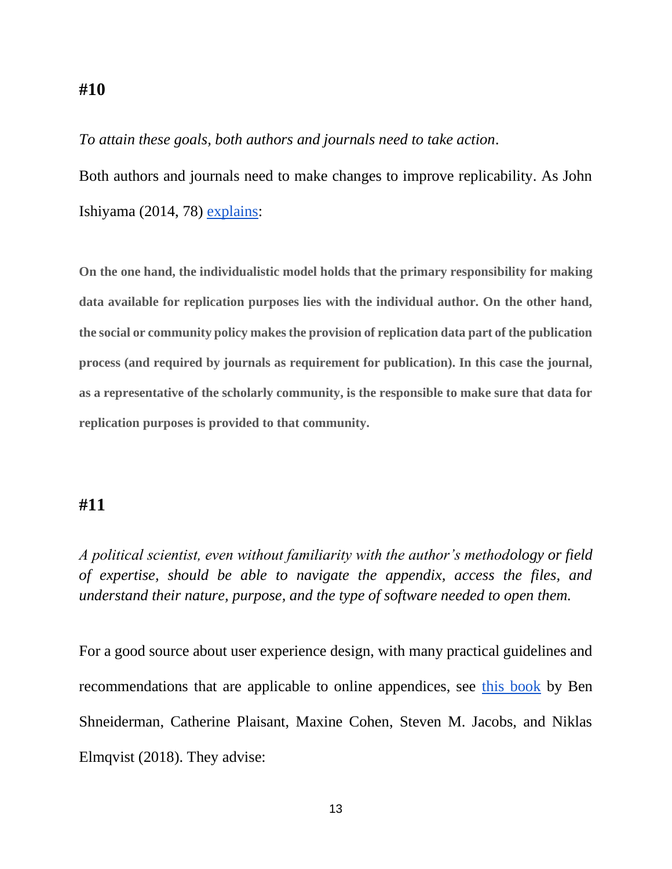#### <span id="page-13-0"></span>**#10**

*To attain these goals, both authors and journals need to take action.*

Both authors and journals need to make changes to improve replicability. As John Ishiyama (2014, 78) [explains:](https://doi.org/10.1017/S1049096513001765)

**On the one hand, the individualistic model holds that the primary responsibility for making data available for replication purposes lies with the individual author. On the other hand, the social or community policy makes the provision of replication data part of the publication process (and required by journals as requirement for publication). In this case the journal, as a representative of the scholarly community, is the responsible to make sure that data for replication purposes is provided to that community.**

#### <span id="page-13-1"></span>**#11**

*A political scientist, even without familiarity with the author's methodology or field of expertise, should be able to navigate the appendix, access the files, and understand their nature, purpose, and the type of software needed to open them.*

For a good source about user experience design, with many practical guidelines and recommendations that are applicable to online appendices, see [this book](https://www.pearson.com/us/higher-education/program/Shneiderman-Designing-the-User-Interface-Strategies-for-Effective-Human-Computer-Interaction-6th-Edition/PGM327860.html) by Ben Shneiderman, Catherine Plaisant, Maxine Cohen, Steven M. Jacobs, and Niklas Elmqvist (2018). They advise: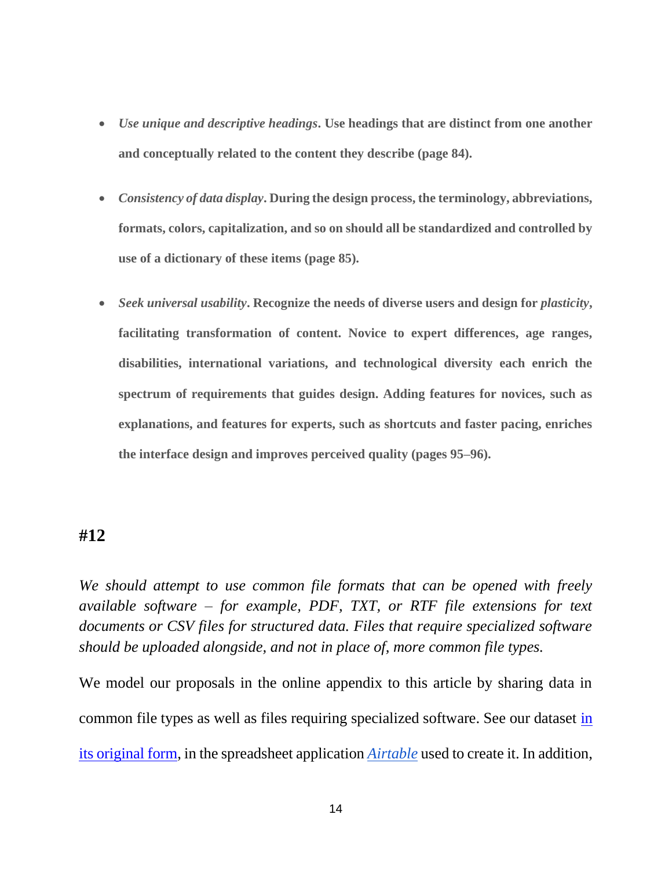- *Use unique and descriptive headings***. Use headings that are distinct from one another and conceptually related to the content they describe (page 84).**
- *Consistency of data display***. During the design process, the terminology, abbreviations, formats, colors, capitalization, and so on should all be standardized and controlled by use of a dictionary of these items (page 85).**
- *Seek universal usability***.** Recognize the needs of diverse users and design for *plasticity*, **facilitating transformation of content. Novice to expert differences, age ranges, disabilities, international variations, and technological diversity each enrich the spectrum of requirements that guides design. Adding features for novices, such as explanations, and features for experts, such as shortcuts and faster pacing, enriches the interface design and improves perceived quality (pages 95–96).**

#### <span id="page-14-0"></span>**#12**

*We should attempt to use common file formats that can be opened with freely available software – for example, PDF, TXT, or RTF file extensions for text documents or CSV files for structured data. Files that require specialized software should be uploaded alongside, and not in place of, more common file types.*

We model our proposals in the online appendix to this article by sharing data in common file types as well as files requiring specialized software. See our dataset [in](https://airtable.com/shrDpVACifLN11Umw)  [its original form,](https://airtable.com/shrDpVACifLN11Umw) in the spreadsheet application *[Airtable](https://airtable.com/)* used to create it. In addition,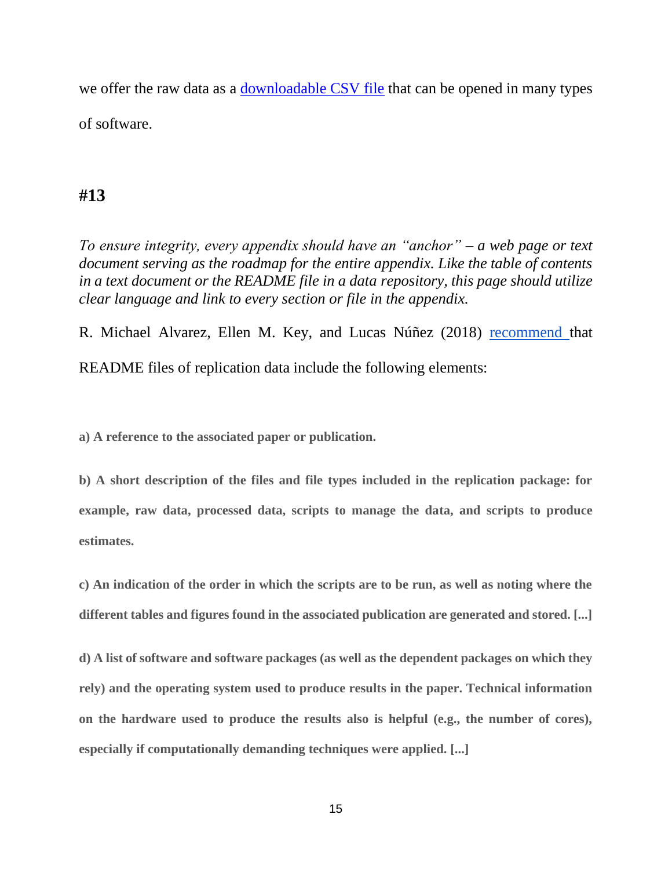we offer the raw data as a [downloadable CSV file](https://github.com/for-anonymous-review/Appendices/blob/master/Appendices_Dataset.csv) that can be opened in many types of software.

#### <span id="page-15-0"></span>**#13**

*To ensure integrity, every appendix should have an "anchor" – a web page or text document serving as the roadmap for the entire appendix. Like the table of contents in a text document or the README file in a data repository, this page should utilize clear language and link to every section or file in the appendix.*

R. Michael Alvarez, Ellen M. Key, and Lucas Núñez (2018) [recommend t](https://doi.org/10.1017/S1049096517002566)hat README files of replication data include the following elements:

**a) A reference to the associated paper or publication.**

**b) A short description of the files and file types included in the replication package: for example, raw data, processed data, scripts to manage the data, and scripts to produce estimates.**

**c) An indication of the order in which the scripts are to be run, as well as noting where the different tables and figures found in the associated publication are generated and stored. [...]**

**d) A list of software and software packages (as well as the dependent packages on which they rely) and the operating system used to produce results in the paper. Technical information on the hardware used to produce the results also is helpful (e.g., the number of cores), especially if computationally demanding techniques were applied. [...]**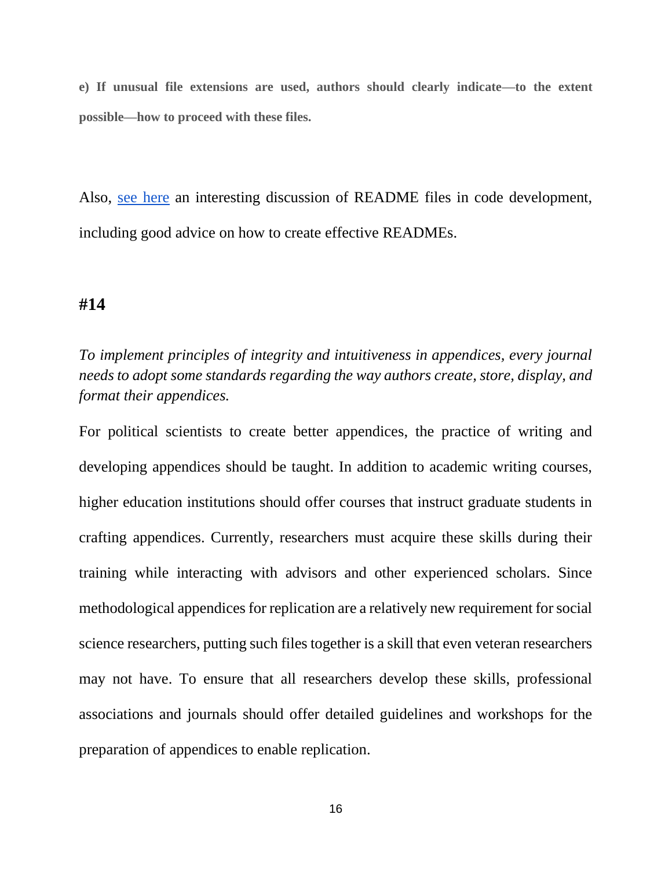**e) If unusual file extensions are used, authors should clearly indicate—to the extent possible—how to proceed with these files.**

Also, [see here](https://github.com/noffle/art-of-readme/blob/master/README.md) an interesting discussion of README files in code development, including good advice on how to create effective READMEs.

#### <span id="page-16-0"></span>**#14**

*To implement principles of integrity and intuitiveness in appendices, every journal needs to adopt some standards regarding the way authors create, store, display, and format their appendices.*

For political scientists to create better appendices, the practice of writing and developing appendices should be taught. In addition to academic writing courses, higher education institutions should offer courses that instruct graduate students in crafting appendices. Currently, researchers must acquire these skills during their training while interacting with advisors and other experienced scholars. Since methodological appendices for replication are a relatively new requirement for social science researchers, putting such files together is a skill that even veteran researchers may not have. To ensure that all researchers develop these skills, professional associations and journals should offer detailed guidelines and workshops for the preparation of appendices to enable replication.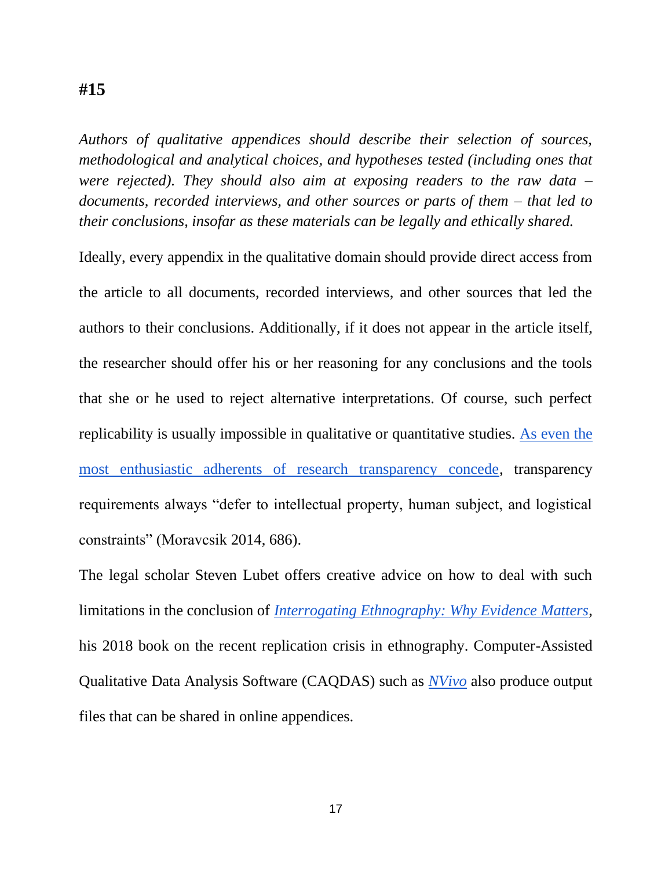#### <span id="page-17-0"></span>**#15**

*Authors of qualitative appendices should describe their selection of sources, methodological and analytical choices, and hypotheses tested (including ones that were rejected). They should also aim at exposing readers to the raw data – documents, recorded interviews, and other sources or parts of them – that led to their conclusions, insofar as these materials can be legally and ethically shared.*

Ideally, every appendix in the qualitative domain should provide direct access from the article to all documents, recorded interviews, and other sources that led the authors to their conclusions. Additionally, if it does not appear in the article itself, the researcher should offer his or her reasoning for any conclusions and the tools that she or he used to reject alternative interpretations. Of course, such perfect replicability is usually impossible in qualitative or quantitative studies. [As even the](https://doi.org/10.1080/09636412.2014.970846)  [most enthusiastic adherents of research transparency concede,](https://doi.org/10.1080/09636412.2014.970846) transparency requirements always "defer to intellectual property, human subject, and logistical constraints" (Moravcsik 2014, 686).

The legal scholar Steven Lubet offers creative advice on how to deal with such limitations in the conclusion of *[Interrogating Ethnography: Why Evidence Matters](https://books.google.com/books?id=6MQ2DwAAQBAJ&lpg=PP1&pg=PP1#v=onepage&q&f=false)*, his 2018 book on the recent replication crisis in ethnography. Computer-Assisted Qualitative Data Analysis Software (CAQDAS) such as *[NVivo](https://www.qsrinternational.com/nvivo/home)* also produce output files that can be shared in online appendices.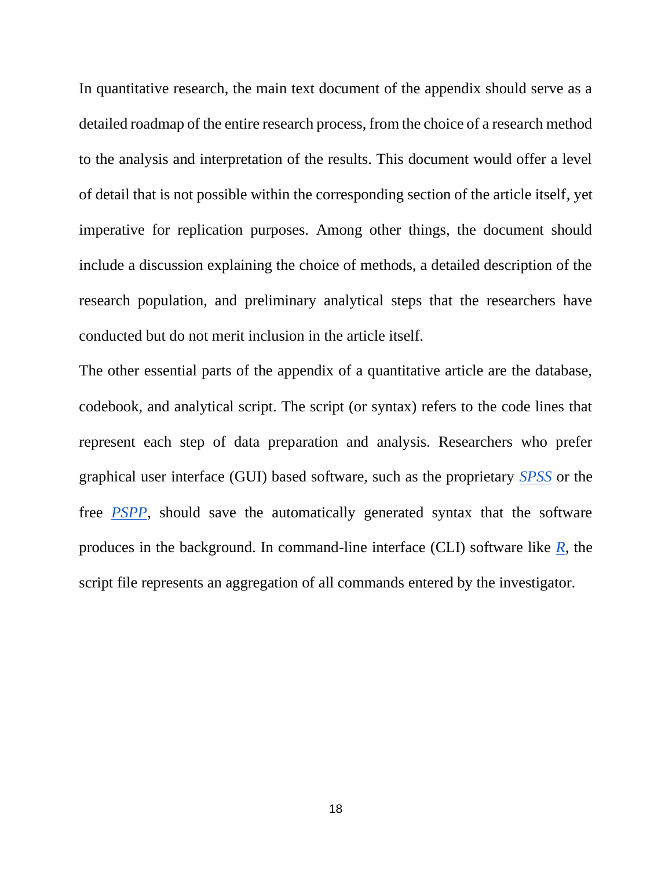In quantitative research, the main text document of the appendix should serve as a detailed roadmap of the entire research process, from the choice of a research method to the analysis and interpretation of the results. This document would offer a level of detail that is not possible within the corresponding section of the article itself, yet imperative for replication purposes. Among other things, the document should include a discussion explaining the choice of methods, a detailed description of the research population, and preliminary analytical steps that the researchers have conducted but do not merit inclusion in the article itself.

<span id="page-18-0"></span>The other essential parts of the appendix of a quantitative article are the database, codebook, and analytical script. The script (or syntax) refers to the code lines that represent each step of data preparation and analysis. Researchers who prefer graphical user interface (GUI) based software, such as the proprietary *[SPSS](https://www.ibm.com/analytics/spss-statistics-software)* or the free *[PSPP](https://www.gnu.org/software/pspp/)*, should save the automatically generated syntax that the software produces in the background. In command-line interface (CLI) software like *[R](https://www.r-project.org/)*, the script file represents an aggregation of all commands entered by the investigator.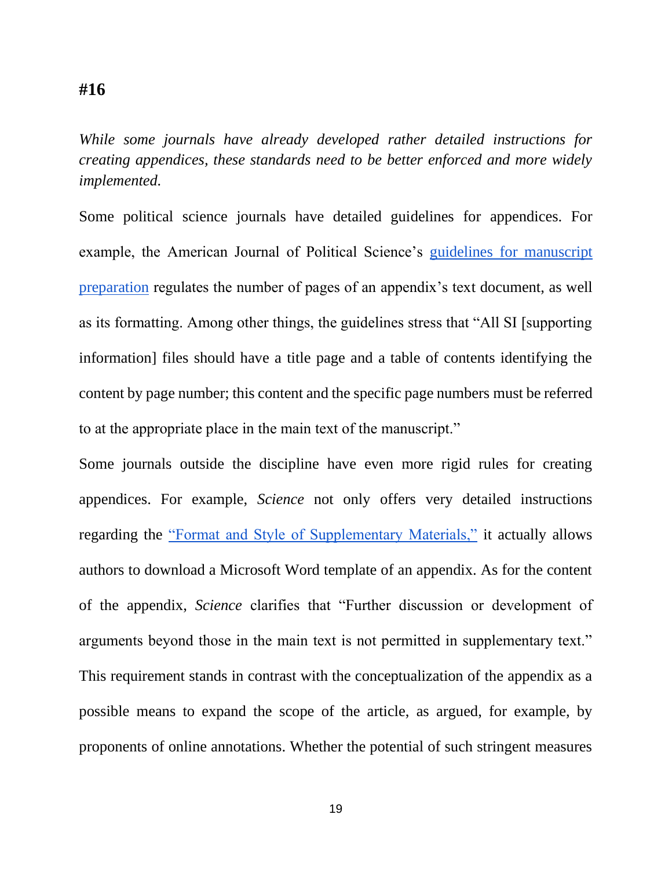#### **#16**

*While some journals have already developed rather detailed instructions for creating appendices, these standards need to be better enforced and more widely implemented.*

Some political science journals have detailed guidelines for appendices. For example, the American Journal of Political Science's [guidelines for manuscript](https://ajps.org/guidelines-for-manuscripts/manuscript-preparation/)  [preparation](https://ajps.org/guidelines-for-manuscripts/manuscript-preparation/) regulates the number of pages of an appendix's text document, as well as its formatting. Among other things, the guidelines stress that "All SI [supporting information] files should have a title page and a table of contents identifying the content by page number; this content and the specific page numbers must be referred to at the appropriate place in the main text of the manuscript."

Some journals outside the discipline have even more rigid rules for creating appendices. For example, *Science* not only offers very detailed instructions regarding the ["Format and Style of Supplementary Materials,"](https://www.sciencemag.org/authors/instructions-preparing-initial-manuscript) it actually allows authors to download a Microsoft Word template of an appendix. As for the content of the appendix, *Science* clarifies that "Further discussion or development of arguments beyond those in the main text is not permitted in supplementary text." This requirement stands in contrast with the conceptualization of the appendix as a possible means to expand the scope of the article, as argued, for example, by proponents of online annotations. Whether the potential of such stringent measures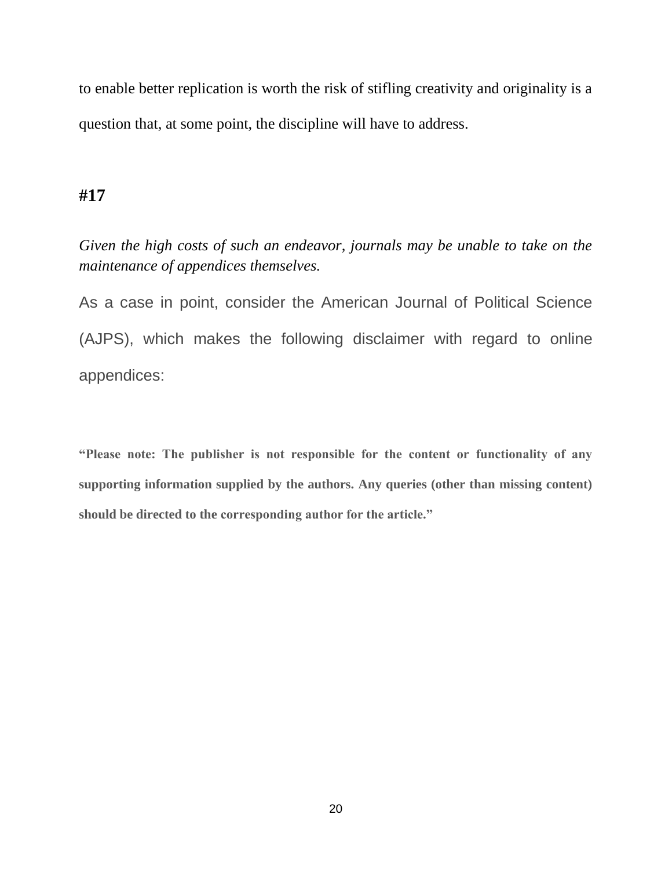to enable better replication is worth the risk of stifling creativity and originality is a question that, at some point, the discipline will have to address.

#### <span id="page-20-0"></span>**#17**

*Given the high costs of such an endeavor, journals may be unable to take on the maintenance of appendices themselves.*

As a case in point, consider the American Journal of Political Science (AJPS), which makes the following disclaimer with regard to online appendices:

**"Please note: The publisher is not responsible for the content or functionality of any supporting information supplied by the authors. Any queries (other than missing content) should be directed to the corresponding author for the article."**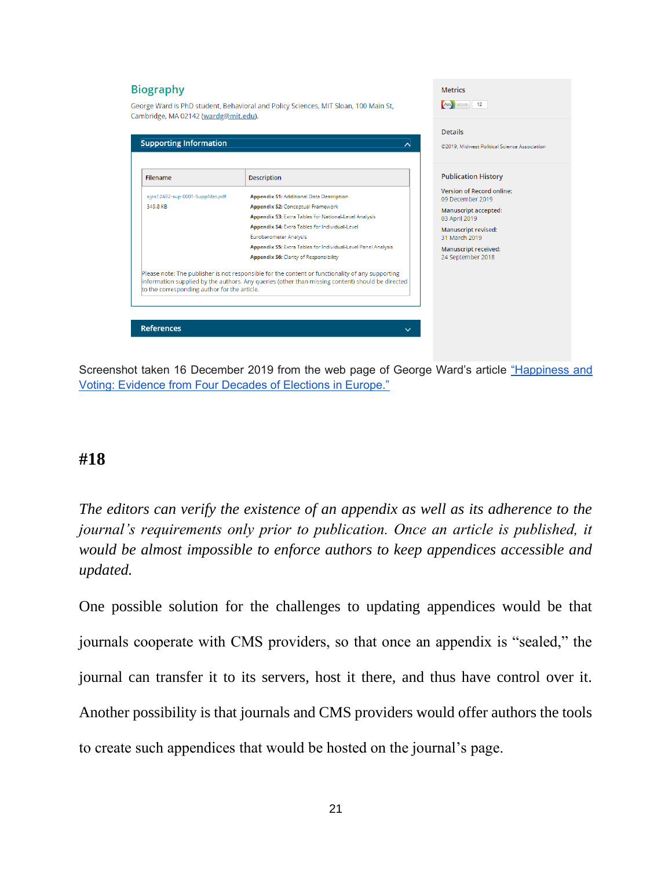#### **Biography Metrics** Am score 12 George Ward is PhD student, Behavioral and Policy Sciences, MIT Sloan, 100 Main St, Cambridge, MA 02142 (wardg@mit.edu). **Details Supporting Information** 지 ©2019, Midwest Political Science Association **Publication History** Filename Description Version of Record online: ajps12492-sup-0001-SuppMat.pdf **Appendix S1: Additional Data Description** 09 December 2019 349.8 KB Appendix S2: Conceptual Framework Manuscript accepted: Annendix S3: Extra Tables for National Level Analysis 03 April 2019 Appendix S4: Extra Tables for Individual-Level Manuscript revised: Eurobarometer Analysis 31 March 2019 Appendix S5: Extra Tables for Individual-Level Panel Analysis Manuscript received: **Appendix S6: Clarity of Responsibility** 24 September 2018 Please note: The publisher is not responsible for the content or functionality of any supporting information supplied by the authors. Any queries (other than missing content) should be directed to the corresponding author for the article. **References**

Screenshot taken 16 December 2019 from the web page of George Ward's article ["Happiness and](https://doi.org/10.1111/ajps.12492)  [Voting: Evidence from Four Decades of Elections in Europe."](https://doi.org/10.1111/ajps.12492)

### <span id="page-21-0"></span>**#18**

*The editors can verify the existence of an appendix as well as its adherence to the journal's requirements only prior to publication. Once an article is published, it would be almost impossible to enforce authors to keep appendices accessible and updated.*

One possible solution for the challenges to updating appendices would be that journals cooperate with CMS providers, so that once an appendix is "sealed," the journal can transfer it to its servers, host it there, and thus have control over it. Another possibility is that journals and CMS providers would offer authors the tools to create such appendices that would be hosted on the journal's page.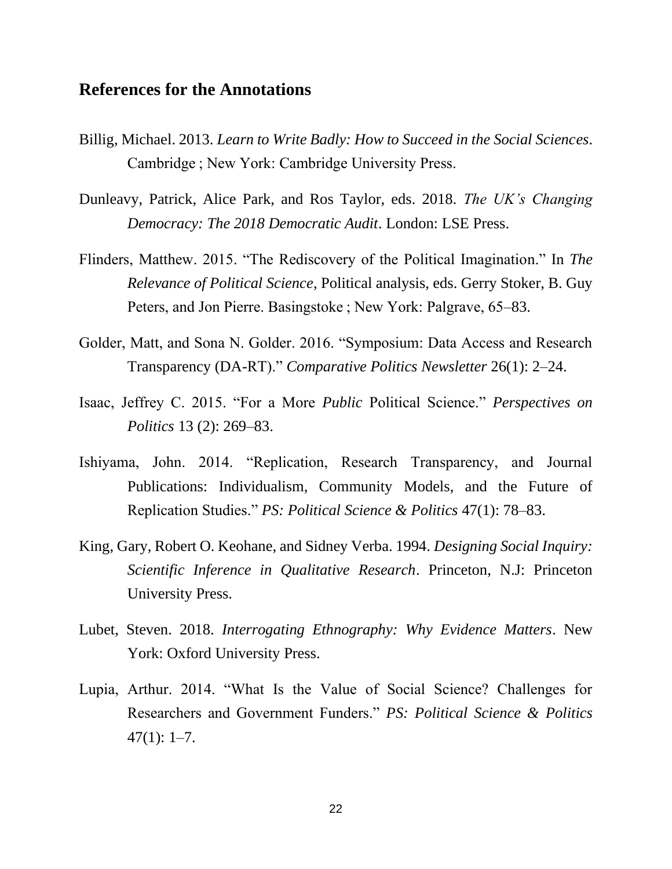#### <span id="page-22-0"></span>**References for the Annotations**

- Billig, Michael. 2013. *Learn to Write Badly: How to Succeed in the Social Sciences*. Cambridge ; New York: Cambridge University Press.
- Dunleavy, Patrick, Alice Park, and Ros Taylor, eds. 2018. *The UK's Changing Democracy: The 2018 Democratic Audit*. London: LSE Press.
- Flinders, Matthew. 2015. "The Rediscovery of the Political Imagination." In *The Relevance of Political Science*, Political analysis, eds. Gerry Stoker, B. Guy Peters, and Jon Pierre. Basingstoke ; New York: Palgrave, 65–83.
- Golder, Matt, and Sona N. Golder. 2016. "Symposium: Data Access and Research Transparency (DA-RT)." *Comparative Politics Newsletter* 26(1): 2–24.
- Isaac, Jeffrey C. 2015. "For a More *Public* Political Science." *Perspectives on Politics* 13 (2): 269–83.
- Ishiyama, John. 2014. "Replication, Research Transparency, and Journal Publications: Individualism, Community Models, and the Future of Replication Studies." *PS: Political Science & Politics* 47(1): 78–83.
- King, Gary, Robert O. Keohane, and Sidney Verba. 1994. *Designing Social Inquiry: Scientific Inference in Qualitative Research*. Princeton, N.J: Princeton University Press.
- Lubet, Steven. 2018. *Interrogating Ethnography: Why Evidence Matters*. New York: Oxford University Press.
- Lupia, Arthur. 2014. "What Is the Value of Social Science? Challenges for Researchers and Government Funders." *PS: Political Science & Politics*  $47(1): 1-7.$